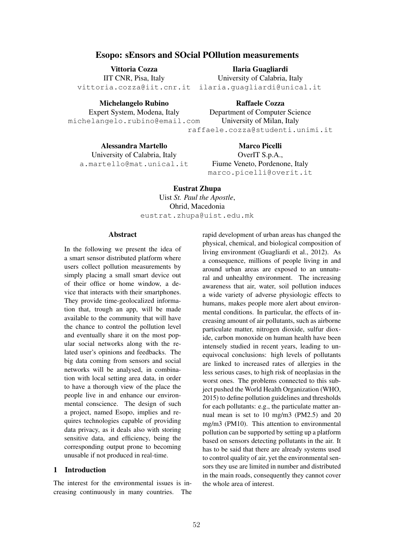# Esopo: sEnsors and SOcial POllution measurements

Vittoria Cozza IIT CNR, Pisa, Italy

vittoria.cozza@iit.cnr.it

### Michelangelo Rubino

Expert System, Modena, Italy michelangelo.rubino@email.com

Ilaria Guagliardi University of Calabria, Italy ilaria.guagliardi@unical.it

Raffaele Cozza Department of Computer Science University of Milan, Italy raffaele.cozza@studenti.unimi.it

Alessandra Martello

University of Calabria, Italy a.martello@mat.unical.it

Marco Picelli OverIT S.p.A., Fiume Veneto, Pordenone, Italy marco.picelli@overit.it

# Eustrat Zhupa

Uist *St. Paul the Apostle*, Ohrid, Macedonia eustrat.zhupa@uist.edu.mk

# Abstract

In the following we present the idea of a smart sensor distributed platform where users collect pollution measurements by simply placing a small smart device out of their office or home window, a device that interacts with their smartphones. They provide time-geolocalized information that, trough an app, will be made available to the community that will have the chance to control the pollution level and eventually share it on the most popular social networks along with the related user's opinions and feedbacks. The big data coming from sensors and social networks will be analysed, in combination with local setting area data, in order to have a thorough view of the place the people live in and enhance our environmental conscience. The design of such a project, named Esopo, implies and requires technologies capable of providing data privacy, as it deals also with storing sensitive data, and efficiency, being the corresponding output prone to becoming unusable if not produced in real-time.

# 1 Introduction

The interest for the environmental issues is increasing continuously in many countries. The rapid development of urban areas has changed the physical, chemical, and biological composition of living environment (Guagliardi et al., 2012). As a consequence, millions of people living in and around urban areas are exposed to an unnatural and unhealthy environment. The increasing awareness that air, water, soil pollution induces a wide variety of adverse physiologic effects to humans, makes people more alert about environmental conditions. In particular, the effects of increasing amount of air pollutants, such as airborne particulate matter, nitrogen dioxide, sulfur dioxide, carbon monoxide on human health have been intensely studied in recent years, leading to unequivocal conclusions: high levels of pollutants are linked to increased rates of allergies in the less serious cases, to high risk of neoplasias in the worst ones. The problems connected to this subject pushed the World Health Organization (WHO, 2015) to define pollution guidelines and thresholds for each pollutants: e.g., the particulate matter annual mean is set to 10 mg/m3 (PM2.5) and 20 mg/m3 (PM10). This attention to environmental pollution can be supported by setting up a platform based on sensors detecting pollutants in the air. It has to be said that there are already systems used to control quality of air, yet the environmental sensors they use are limited in number and distributed in the main roads, consequently they cannot cover the whole area of interest.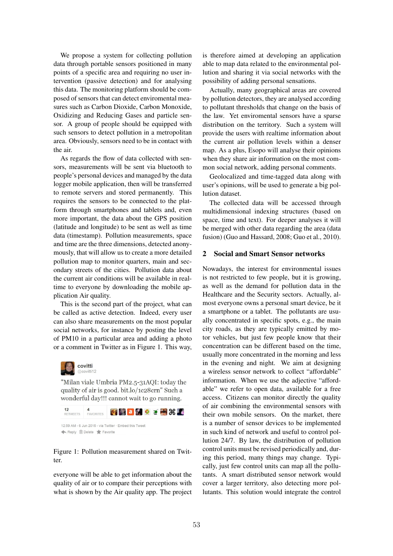We propose a system for collecting pollution data through portable sensors positioned in many points of a specific area and requiring no user intervention (passive detection) and for analysing this data. The monitoring platform should be composed of sensors that can detect enviromental measures such as Carbon Dioxide, Carbon Monoxide, Oxidizing and Reducing Gases and particle sensor. A group of people should be equipped with such sensors to detect pollution in a metropolitan area. Obviously, sensors need to be in contact with the air.

As regards the flow of data collected with sensors, measurements will be sent via bluetooth to people's personal devices and managed by the data logger mobile application, then will be transferred to remote servers and stored permanently. This requires the sensors to be connected to the platform through smartphones and tablets and, even more important, the data about the GPS position (latitude and longitude) to be sent as well as time data (timestamp). Pollution measurements, space and time are the three dimensions, detected anonymously, that will allow us to create a more detailed pollution map to monitor quarters, main and secondary streets of the cities. Pollution data about the current air conditions will be available in realtime to everyone by downloading the mobile application Air quality.

This is the second part of the project, what can be called as active detection. Indeed, every user can also share measurements on the most popular social networks, for instance by posting the level of PM10 in a particular area and adding a photo or a comment in Twitter as in Figure 1. This way,



"Milan viale Umbria PM2.5-31AOI: today the quality of air is good. bit.lo/1c28crn" Such a wonderful day!!! cannot wait to go running.



### Figure 1: Pollution measurement shared on Twitter.

everyone will be able to get information about the quality of air or to compare their perceptions with what is shown by the Air quality app. The project is therefore aimed at developing an application able to map data related to the environmental pollution and sharing it via social networks with the possibility of adding personal sensations.

Actually, many geographical areas are covered by pollution detectors, they are analysed according to pollutant thresholds that change on the basis of the law. Yet enviromental sensors have a sparse distribution on the territory. Such a system will provide the users with realtime information about the current air pollution levels within a denser map. As a plus, Esopo will analyse their opinions when they share air information on the most common social network, adding personal comments.

Geolocalized and time-tagged data along with user's opinions, will be used to generate a big pollution dataset.

The collected data will be accessed through multidimensional indexing structures (based on space, time and text). For deeper analyses it will be merged with other data regarding the area (data fusion) (Guo and Hassard, 2008; Guo et al., 2010).

### 2 Social and Smart Sensor networks

Nowadays, the interest for environmental issues is not restricted to few people, but it is growing, as well as the demand for pollution data in the Healthcare and the Security sectors. Actually, almost everyone owns a personal smart device, be it a smartphone or a tablet. The pollutants are usually concentrated in specific spots, e.g., the main city roads, as they are typically emitted by motor vehicles, but just few people know that their concentration can be different based on the time, usually more concentrated in the morning and less in the evening and night. We aim at designing a wireless sensor network to collect "affordable" information. When we use the adjective "affordable" we refer to open data, available for a free access. Citizens can monitor directly the quality of air combining the environmental sensors with their own mobile sensors. On the market, there is a number of sensor devices to be implemented in such kind of network and useful to control pollution 24/7. By law, the distribution of pollution control units must be revised periodically and, during this period, many things may change. Typically, just few control units can map all the pollutants. A smart distributed sensor network would cover a larger territory, also detecting more pollutants. This solution would integrate the control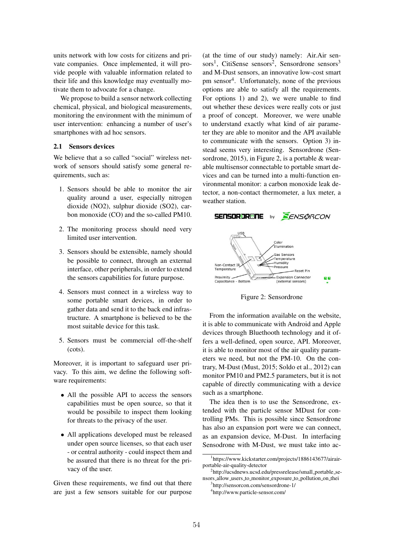units network with low costs for citizens and private companies. Once implemented, it will provide people with valuable information related to their life and this knowledge may eventually motivate them to advocate for a change.

We propose to build a sensor network collecting chemical, physical, and biological measurements, monitoring the environment with the minimum of user intervention: enhancing a number of user's smartphones with ad hoc sensors.

#### 2.1 Sensors devices

We believe that a so called "social" wireless network of sensors should satisfy some general requirements, such as:

- 1. Sensors should be able to monitor the air quality around a user, especially nitrogen dioxide (NO2), sulphur dioxide (SO2), carbon monoxide (CO) and the so-called PM10.
- 2. The monitoring process should need very limited user intervention.
- 3. Sensors should be extensible, namely should be possible to connect, through an external interface, other peripherals, in order to extend the sensors capabilities for future purpose.
- 4. Sensors must connect in a wireless way to some portable smart devices, in order to gather data and send it to the back end infrastructure. A smartphone is believed to be the most suitable device for this task.
- 5. Sensors must be commercial off-the-shelf (cots).

Moreover, it is important to safeguard user privacy. To this aim, we define the following software requirements:

- All the possible API to access the sensors capabilities must be open source, so that it would be possibile to inspect them looking for threats to the privacy of the user.
- *•* All applications developed must be released under open source licenses, so that each user - or central authority - could inspect them and be assured that there is no threat for the privacy of the user.

Given these requirements, we find out that there are just a few sensors suitable for our purpose

(at the time of our study) namely: Air.Air sensors<sup>1</sup>, CitiSense sensors<sup>2</sup>, Sensordrone sensors<sup>3</sup> and M-Dust sensors, an innovative low-cost smart pm sensor<sup>4</sup>. Unfortunately, none of the previous options are able to satisfy all the requirements. For options 1) and 2), we were unable to find out whether these devices were really cots or just a proof of concept. Moreover, we were unable to understand exactly what kind of air parameter they are able to monitor and the API available to communicate with the sensors. Option 3) instead seems very interesting. Sensordrone (Sensordrone, 2015), in Figure 2, is a portable & wearable multisensor connectable to portable smart devices and can be turned into a multi-function environmental monitor: a carbon monoxide leak detector, a non-contact thermometer, a lux meter, a weather station.



Figure 2: Sensordrone

From the information available on the website, it is able to communicate with Android and Apple devices through Bluethooth technology and it offers a well-defined, open source, API. Moreover, it is able to monitor most of the air quality parameters we need, but not the PM-10. On the contrary, M-Dust (Must, 2015; Soldo et al., 2012) can monitor PM10 and PM2.5 parameters, but it is not capable of directly communicating with a device such as a smartphone.

The idea then is to use the Sensordrone, extended with the particle sensor MDust for controlling PMs. This is possible since Sensordrone has also an expansion port were we can connect, as an expansion device, M-Dust. In interfacing Sensodrone with M-Dust, we must take into ac-

3 http://sensorcon.com/sensordrone-1/ 4 http://www.particle-sensor.com/

<sup>&</sup>lt;sup>1</sup>https://www.kickstarter.com/projects/1886143677/airairportable-air-quality-detector

<sup>&</sup>lt;sup>2</sup>http://ucsdnews.ucsd.edu/pressrelease/small\_portable\_sensors allow users to monitor exposure to pollution on thei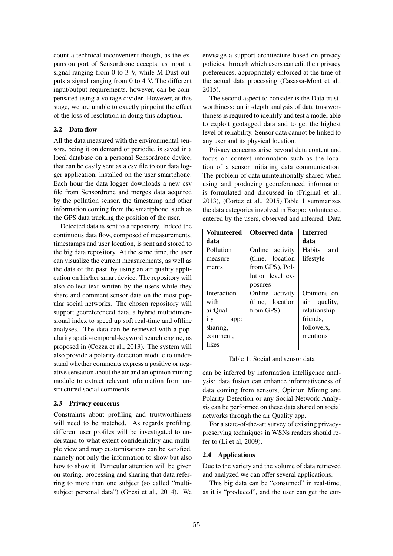count a technical inconvenient though, as the expansion port of Sensordrone accepts, as input, a signal ranging from 0 to 3 V, while M-Dust outputs a signal ranging from 0 to 4 V. The different input/output requirements, however, can be compensated using a voltage divider. However, at this stage, we are unable to exactly pinpoint the effect of the loss of resolution in doing this adaption.

### 2.2 Data flow

All the data measured with the environmental sensors, being it on demand or periodic, is saved in a local database on a personal Sensordrone device, that can be easily sent as a csv file to our data logger application, installed on the user smartphone. Each hour the data logger downloads a new csv file from Sensordrone and merges data acquired by the pollution sensor, the timestamp and other information coming from the smartphone, such as the GPS data tracking the position of the user.

Detected data is sent to a repository. Indeed the continuous data flow, composed of measurements, timestamps and user location, is sent and stored to the big data repository. At the same time, the user can visualize the current measurements, as well as the data of the past, by using an air quality application on his/her smart device. The repository will also collect text written by the users while they share and comment sensor data on the most popular social networks. The chosen repository will support georeferenced data, a hybrid multidimensional index to speed up soft real-time and offline analyses. The data can be retrieved with a popularity spatio-temporal-keyword search engine, as proposed in (Cozza et al., 2013). The system will also provide a polarity detection module to understand whether comments express a positive or negative sensation about the air and an opinion mining module to extract relevant information from unstructured social comments.

### 2.3 Privacy concerns

Constraints about profiling and trustworthiness will need to be matched. As regards profiling, different user profiles will be investigated to understand to what extent confidentiality and multiple view and map customisations can be satisfied, namely not only the information to show but also how to show it. Particular attention will be given on storing, processing and sharing that data referring to more than one subject (so called "multisubject personal data") (Gnesi et al., 2014). We

envisage a support architecture based on privacy policies, through which users can edit their privacy preferences, appropriately enforced at the time of the actual data processing (Casassa-Mont et al., 2015).

The second aspect to consider is the Data trustworthiness: an in-depth analysis of data trustworthiness is required to identify and test a model able to exploit geotagged data and to get the highest level of reliability. Sensor data cannot be linked to any user and its physical location.

Privacy concerns arise beyond data content and focus on context information such as the location of a sensor initiating data communication. The problem of data unintentionally shared when using and producing georeferenced information is formulated and discussed in (Friginal et al., 2013), (Cortez et al., 2015).Table 1 summarizes the data categories involved in Esopo: volunteered entered by the users, observed and inferred. Data

| <b>Volunteered</b> | <b>Observed data</b> | <b>Inferred</b> |
|--------------------|----------------------|-----------------|
| data               |                      | data            |
| Pollution          | Online activity      | Habits<br>and   |
| measure-           | (time, location)     | lifestyle       |
| ments              | from GPS), Pol-      |                 |
|                    | lution level ex-     |                 |
|                    | posures              |                 |
| Interaction        | Online activity      | Opinions on     |
| with               | (time, location      | air quality,    |
| airOual-           | from GPS)            | relationship:   |
| ity app:           |                      | friends.        |
| sharing,           |                      | followers,      |
| comment,           |                      | mentions        |
| likes              |                      |                 |

### Table 1: Social and sensor data

can be inferred by information intelligence analysis: data fusion can enhance informativeness of data coming from sensors, Opinion Mining and Polarity Detection or any Social Network Analysis can be performed on these data shared on social networks through the air Quality app.

For a state-of-the-art survey of existing privacypreserving techniques in WSNs readers should refer to (Li et al, 2009).

### 2.4 Applications

Due to the variety and the volume of data retrieved and analyzed we can offer several applications.

This big data can be "consumed" in real-time, as it is "produced", and the user can get the cur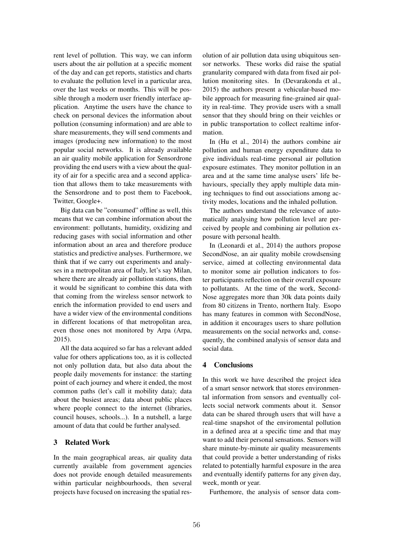rent level of pollution. This way, we can inform users about the air pollution at a specific moment of the day and can get reports, statistics and charts to evaluate the pollution level in a particular area, over the last weeks or months. This will be possible through a modern user friendly interface application. Anytime the users have the chance to check on personal devices the information about pollution (consuming information) and are able to share measurements, they will send comments and images (producing new information) to the most popular social networks. It is already available an air quality mobile application for Sensordrone providing the end users with a view about the quality of air for a specific area and a second application that allows them to take measurements with the Sensordrone and to post them to Facebook, Twitter, Google+.

Big data can be "consumed" offline as well, this means that we can combine information about the environment: pollutants, humidity, oxidizing and reducing gases with social information and other information about an area and therefore produce statistics and predictive analyses. Furthermore, we think that if we carry out experiments and analyses in a metropolitan area of Italy, let's say Milan, where there are already air pollution stations, then it would be significant to combine this data with that coming from the wireless sensor network to enrich the information provided to end users and have a wider view of the environmental conditions in different locations of that metropolitan area, even those ones not monitored by Arpa (Arpa, 2015).

All the data acquired so far has a relevant added value for others applications too, as it is collected not only pollution data, but also data about the people daily movements for instance: the starting point of each journey and where it ended, the most common paths (let's call it mobility data); data about the busiest areas; data about public places where people connect to the internet (libraries, council houses, schools...). In a nutshell, a large amount of data that could be further analysed.

# 3 Related Work

In the main geographical areas, air quality data currently available from government agencies does not provide enough detailed measurements within particular neighbourhoods, then several projects have focused on increasing the spatial res-

olution of air pollution data using ubiquitous sensor networks. These works did raise the spatial granularity compared with data from fixed air pollution monitoring sites. In (Devarakonda et al., 2015) the authors present a vehicular-based mobile approach for measuring fine-grained air quality in real-time. They provide users with a small sensor that they should bring on their veichles or in public transportation to collect realtime information.

In (Hu et al., 2014) the authors combine air pollution and human energy expenditure data to give individuals real-time personal air pollution exposure estimates. They monitor pollution in an area and at the same time analyse users' life behaviours, specially they apply multiple data mining techniques to find out associations among activity modes, locations and the inhaled pollution.

The authors understand the relevance of automatically analysing how pollution level are perceived by people and combining air pollution exposure with personal health.

In (Leonardi et al., 2014) the authors propose SecondNose, an air quality mobile crowdsensing service, aimed at collecting environmental data to monitor some air pollution indicators to foster participants reflection on their overall exposure to pollutants. At the time of the work, Second-Nose aggregates more than 30k data points daily from 80 citizens in Trento, northern Italy. Esopo has many features in common with SecondNose, in addition it encourages users to share pollution measurements on the social networks and, consequently, the combined analysis of sensor data and social data.

# 4 Conclusions

In this work we have described the project idea of a smart sensor network that stores environmental information from sensors and eventually collects social network comments about it. Sensor data can be shared through users that will have a real-time snapshot of the enviromental pollution in a defined area at a specific time and that may want to add their personal sensations. Sensors will share minute-by-minute air quality measurements that could provide a better understanding of risks related to potentially harmful exposure in the area and eventually identify patterns for any given day, week, month or year.

Furthemore, the analysis of sensor data com-